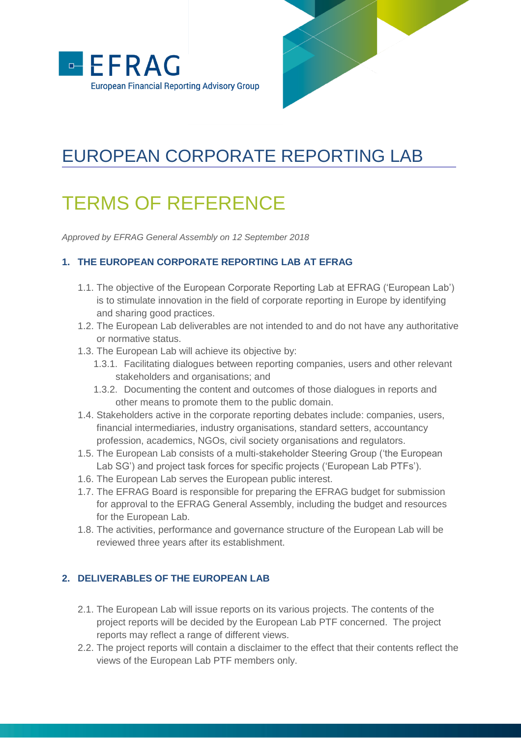



## EUROPEAN CORPORATE REPORTING LAB

# TERMS OF REFERENCE

*Approved by EFRAG General Assembly on 12 September 2018*

#### **1. THE EUROPEAN CORPORATE REPORTING LAB AT EFRAG**

- 1.1. The objective of the European Corporate Reporting Lab at EFRAG ('European Lab') is to stimulate innovation in the field of corporate reporting in Europe by identifying and sharing good practices.
- 1.2. The European Lab deliverables are not intended to and do not have any authoritative or normative status.
- 1.3. The European Lab will achieve its objective by:
	- 1.3.1. Facilitating dialogues between reporting companies, users and other relevant stakeholders and organisations; and
	- 1.3.2. Documenting the content and outcomes of those dialogues in reports and other means to promote them to the public domain.
- 1.4. Stakeholders active in the corporate reporting debates include: companies, users, financial intermediaries, industry organisations, standard setters, accountancy profession, academics, NGOs, civil society organisations and regulators.
- 1.5. The European Lab consists of a multi-stakeholder Steering Group ('the European Lab SG') and project task forces for specific projects ('European Lab PTFs').
- 1.6. The European Lab serves the European public interest.
- 1.7. The EFRAG Board is responsible for preparing the EFRAG budget for submission for approval to the EFRAG General Assembly, including the budget and resources for the European Lab.
- 1.8. The activities, performance and governance structure of the European Lab will be reviewed three years after its establishment.

## **2. DELIVERABLES OF THE EUROPEAN LAB**

- 2.1. The European Lab will issue reports on its various projects. The contents of the project reports will be decided by the European Lab PTF concerned. The project reports may reflect a range of different views.
- 2.2. The project reports will contain a disclaimer to the effect that their contents reflect the views of the European Lab PTF members only.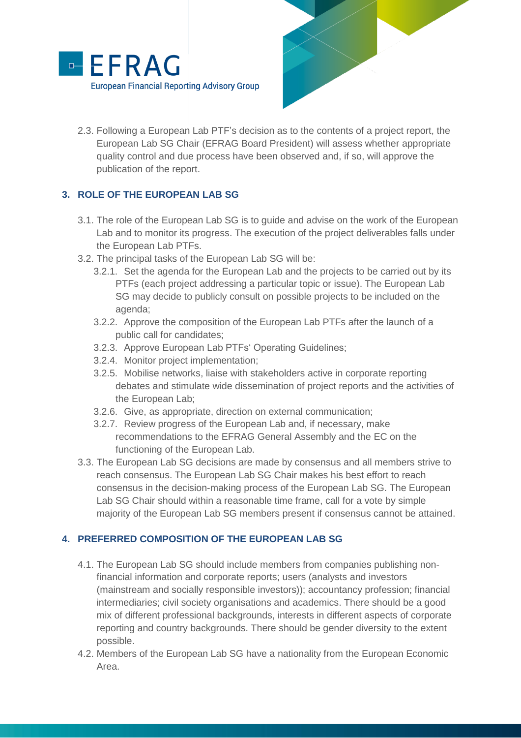



2.3. Following a European Lab PTF's decision as to the contents of a project report, the European Lab SG Chair (EFRAG Board President) will assess whether appropriate quality control and due process have been observed and, if so, will approve the publication of the report.

## **3. ROLE OF THE EUROPEAN LAB SG**

- 3.1. The role of the European Lab SG is to guide and advise on the work of the European Lab and to monitor its progress. The execution of the project deliverables falls under the European Lab PTFs.
- 3.2. The principal tasks of the European Lab SG will be:
	- 3.2.1. Set the agenda for the European Lab and the projects to be carried out by its PTFs (each project addressing a particular topic or issue). The European Lab SG may decide to publicly consult on possible projects to be included on the agenda;
	- 3.2.2. Approve the composition of the European Lab PTFs after the launch of a public call for candidates;
	- 3.2.3. Approve European Lab PTFs' Operating Guidelines;
	- 3.2.4. Monitor project implementation;
	- 3.2.5. Mobilise networks, liaise with stakeholders active in corporate reporting debates and stimulate wide dissemination of project reports and the activities of the European Lab;
	- 3.2.6. Give, as appropriate, direction on external communication;
	- 3.2.7. Review progress of the European Lab and, if necessary, make recommendations to the EFRAG General Assembly and the EC on the functioning of the European Lab.
- 3.3. The European Lab SG decisions are made by consensus and all members strive to reach consensus. The European Lab SG Chair makes his best effort to reach consensus in the decision-making process of the European Lab SG. The European Lab SG Chair should within a reasonable time frame, call for a vote by simple majority of the European Lab SG members present if consensus cannot be attained.

#### **4. PREFERRED COMPOSITION OF THE EUROPEAN LAB SG**

- 4.1. The European Lab SG should include members from companies publishing nonfinancial information and corporate reports; users (analysts and investors (mainstream and socially responsible investors)); accountancy profession; financial intermediaries; civil society organisations and academics. There should be a good mix of different professional backgrounds, interests in different aspects of corporate reporting and country backgrounds. There should be gender diversity to the extent possible.
- 4.2. Members of the European Lab SG have a nationality from the European Economic Area.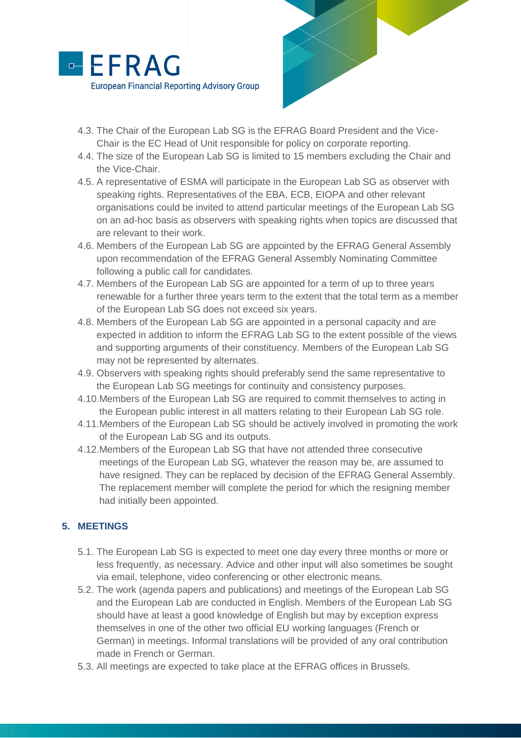

- 4.3. The Chair of the European Lab SG is the EFRAG Board President and the Vice-Chair is the EC Head of Unit responsible for policy on corporate reporting.
- 4.4. The size of the European Lab SG is limited to 15 members excluding the Chair and the Vice-Chair.
- 4.5. A representative of ESMA will participate in the European Lab SG as observer with speaking rights. Representatives of the EBA, ECB, EIOPA and other relevant organisations could be invited to attend particular meetings of the European Lab SG on an ad-hoc basis as observers with speaking rights when topics are discussed that are relevant to their work.
- 4.6. Members of the European Lab SG are appointed by the EFRAG General Assembly upon recommendation of the EFRAG General Assembly Nominating Committee following a public call for candidates.
- 4.7. Members of the European Lab SG are appointed for a term of up to three years renewable for a further three years term to the extent that the total term as a member of the European Lab SG does not exceed six years.
- 4.8. Members of the European Lab SG are appointed in a personal capacity and are expected in addition to inform the EFRAG Lab SG to the extent possible of the views and supporting arguments of their constituency. Members of the European Lab SG may not be represented by alternates.
- 4.9. Observers with speaking rights should preferably send the same representative to the European Lab SG meetings for continuity and consistency purposes.
- 4.10.Members of the European Lab SG are required to commit themselves to acting in the European public interest in all matters relating to their European Lab SG role.
- 4.11.Members of the European Lab SG should be actively involved in promoting the work of the European Lab SG and its outputs.
- 4.12.Members of the European Lab SG that have not attended three consecutive meetings of the European Lab SG, whatever the reason may be, are assumed to have resigned. They can be replaced by decision of the EFRAG General Assembly. The replacement member will complete the period for which the resigning member had initially been appointed.

#### **5. MEETINGS**

- 5.1. The European Lab SG is expected to meet one day every three months or more or less frequently, as necessary. Advice and other input will also sometimes be sought via email, telephone, video conferencing or other electronic means.
- 5.2. The work (agenda papers and publications) and meetings of the European Lab SG and the European Lab are conducted in English. Members of the European Lab SG should have at least a good knowledge of English but may by exception express themselves in one of the other two official EU working languages (French or German) in meetings. Informal translations will be provided of any oral contribution made in French or German.
- 5.3. All meetings are expected to take place at the EFRAG offices in Brussels.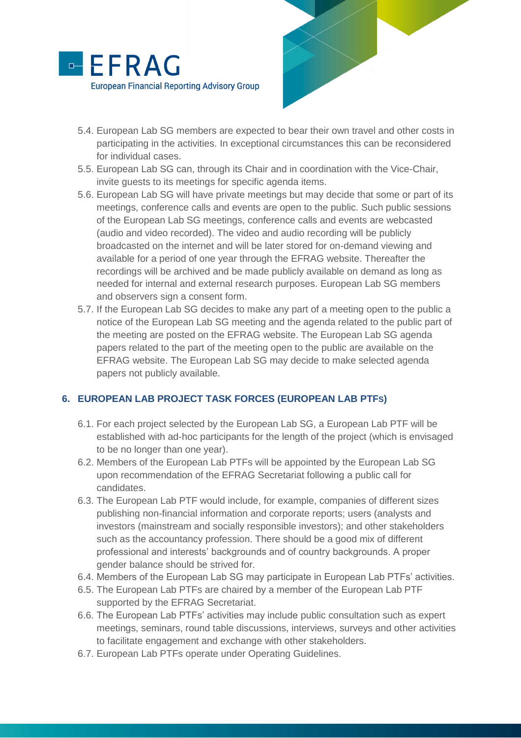



- 5.4. European Lab SG members are expected to bear their own travel and other costs in participating in the activities. In exceptional circumstances this can be reconsidered for individual cases.
- 5.5. European Lab SG can, through its Chair and in coordination with the Vice-Chair, invite guests to its meetings for specific agenda items.
- 5.6. European Lab SG will have private meetings but may decide that some or part of its meetings, conference calls and events are open to the public. Such public sessions of the European Lab SG meetings, conference calls and events are webcasted (audio and video recorded). The video and audio recording will be publicly broadcasted on the internet and will be later stored for on-demand viewing and available for a period of one year through the EFRAG website. Thereafter the recordings will be archived and be made publicly available on demand as long as needed for internal and external research purposes. European Lab SG members and observers sign a consent form.
- 5.7. If the European Lab SG decides to make any part of a meeting open to the public a notice of the European Lab SG meeting and the agenda related to the public part of the meeting are posted on the EFRAG website. The European Lab SG agenda papers related to the part of the meeting open to the public are available on the EFRAG website. The European Lab SG may decide to make selected agenda papers not publicly available.

#### **6. EUROPEAN LAB PROJECT TASK FORCES (EUROPEAN LAB PTFS)**

- 6.1. For each project selected by the European Lab SG, a European Lab PTF will be established with ad-hoc participants for the length of the project (which is envisaged to be no longer than one year).
- 6.2. Members of the European Lab PTFs will be appointed by the European Lab SG upon recommendation of the EFRAG Secretariat following a public call for candidates.
- 6.3. The European Lab PTF would include, for example, companies of different sizes publishing non-financial information and corporate reports; users (analysts and investors (mainstream and socially responsible investors); and other stakeholders such as the accountancy profession. There should be a good mix of different professional and interests' backgrounds and of country backgrounds. A proper gender balance should be strived for.
- 6.4. Members of the European Lab SG may participate in European Lab PTFs' activities.
- 6.5. The European Lab PTFs are chaired by a member of the European Lab PTF supported by the EFRAG Secretariat.
- 6.6. The European Lab PTFs' activities may include public consultation such as expert meetings, seminars, round table discussions, interviews, surveys and other activities to facilitate engagement and exchange with other stakeholders.
- 6.7. European Lab PTFs operate under Operating Guidelines.